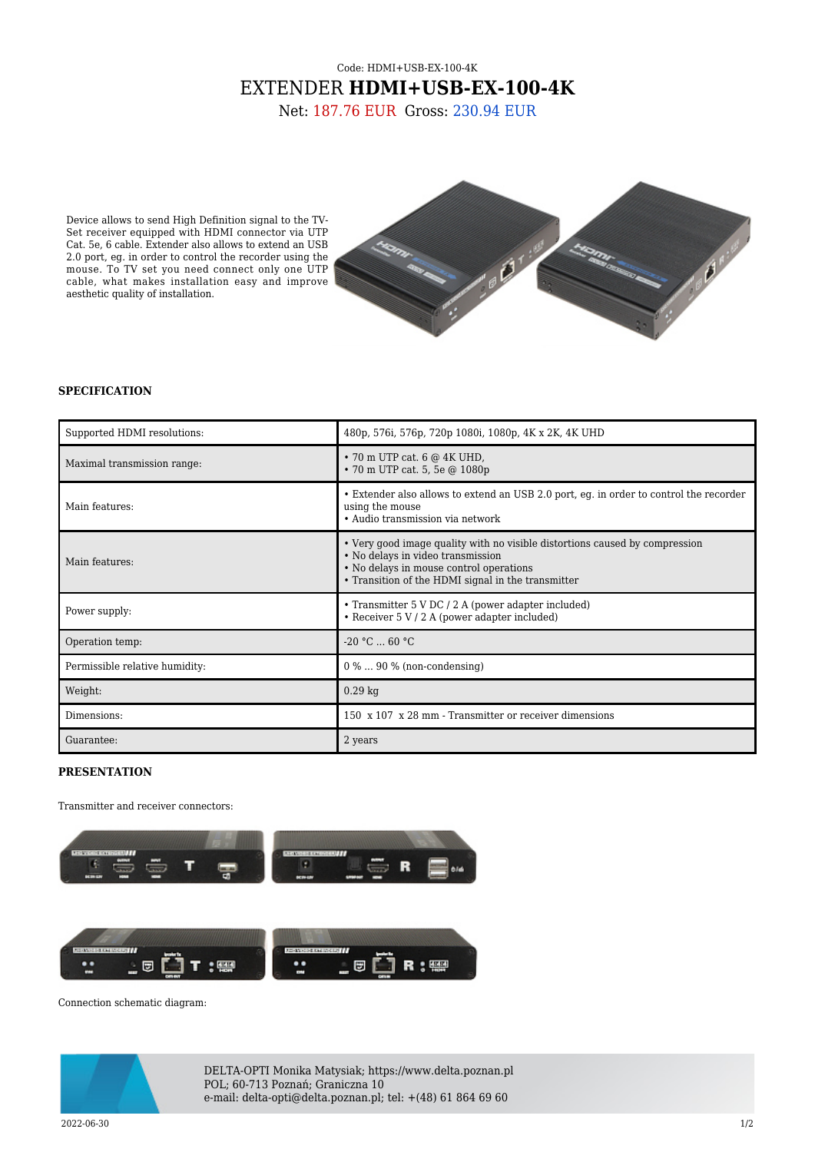## Code: HDMI+USB-EX-100-4K EXTENDER **HDMI+USB-EX-100-4K**

Net: 187.76 EUR Gross: 230.94 EUR

Device allows to send High Definition signal to the TV-Set receiver equipped with HDMI connector via UTP Cat. 5e, 6 cable. Extender also allows to extend an USB 2.0 port, eg. in order to control the recorder using the mouse. To TV set you need connect only one UTP cable, what makes installation easy and improve aesthetic quality of installation.



## **SPECIFICATION**

| Supported HDMI resolutions:    | 480p, 576i, 576p, 720p 1080i, 1080p, 4K x 2K, 4K UHD                                                                                                                                                              |
|--------------------------------|-------------------------------------------------------------------------------------------------------------------------------------------------------------------------------------------------------------------|
| Maximal transmission range:    | $\cdot$ 70 m UTP cat. 6 $@$ 4K UHD,<br>• 70 m UTP cat. 5, 5e @ 1080p                                                                                                                                              |
| Main features:                 | • Extender also allows to extend an USB 2.0 port, eg. in order to control the recorder<br>using the mouse<br>• Audio transmission via network                                                                     |
| Main features:                 | • Very good image quality with no visible distortions caused by compression<br>· No delays in video transmission<br>• No delays in mouse control operations<br>• Transition of the HDMI signal in the transmitter |
| Power supply:                  | • Transmitter 5 V DC / 2 A (power adapter included)<br>• Receiver $5 V / 2 A$ (power adapter included)                                                                                                            |
| Operation temp:                | $-20 °C$ 60 °C                                                                                                                                                                                                    |
| Permissible relative humidity: | $0\% \dots 90\%$ (non-condensing)                                                                                                                                                                                 |
| Weight:                        | $0.29$ kg                                                                                                                                                                                                         |
| Dimensions:                    | 150 x 107 x 28 mm - Transmitter or receiver dimensions                                                                                                                                                            |
| Guarantee:                     | 2 years                                                                                                                                                                                                           |

## **PRESENTATION**

Transmitter and receiver connectors:



Connection schematic diagram:



DELTA-OPTI Monika Matysiak; https://www.delta.poznan.pl POL; 60-713 Poznań; Graniczna 10 e-mail: delta-opti@delta.poznan.pl; tel: +(48) 61 864 69 60

 $2022{\cdot}06{\cdot}30$  and the set of the set of the set of the set of the set of the set of the set of the set of the set of the set of the set of the set of the set of the set of the set of the set of the set of the set of th